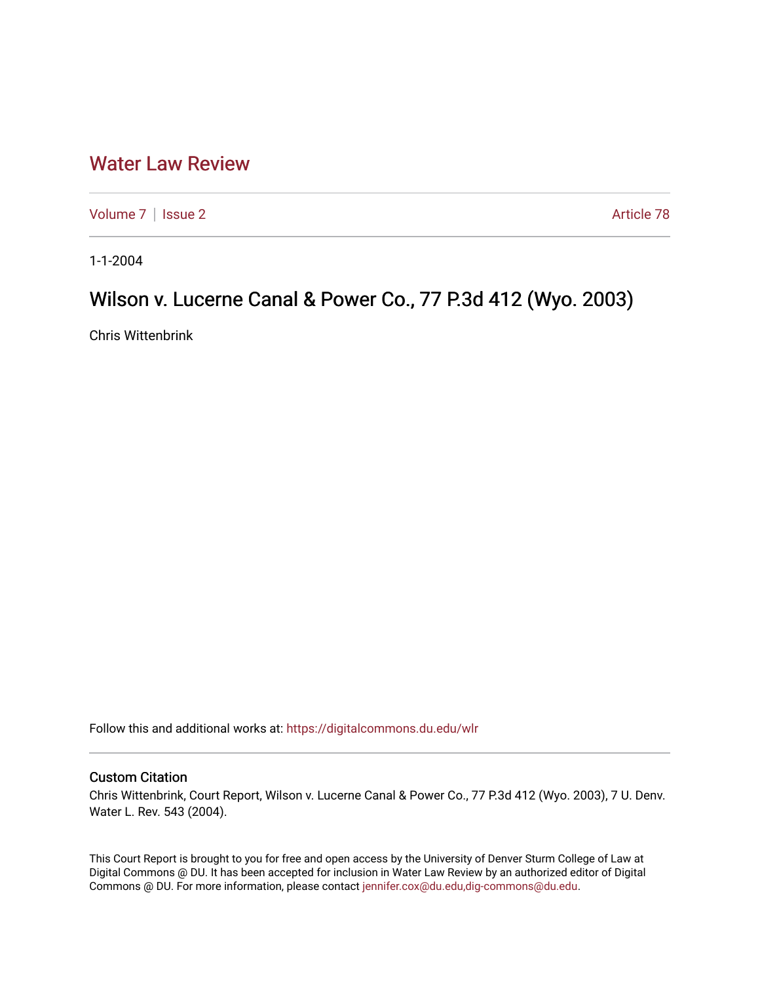# [Water Law Review](https://digitalcommons.du.edu/wlr)

[Volume 7](https://digitalcommons.du.edu/wlr/vol7) | [Issue 2](https://digitalcommons.du.edu/wlr/vol7/iss2) Article 78

1-1-2004

## Wilson v. Lucerne Canal & Power Co., 77 P.3d 412 (Wyo. 2003)

Chris Wittenbrink

Follow this and additional works at: [https://digitalcommons.du.edu/wlr](https://digitalcommons.du.edu/wlr?utm_source=digitalcommons.du.edu%2Fwlr%2Fvol7%2Fiss2%2F78&utm_medium=PDF&utm_campaign=PDFCoverPages) 

### Custom Citation

Chris Wittenbrink, Court Report, Wilson v. Lucerne Canal & Power Co., 77 P.3d 412 (Wyo. 2003), 7 U. Denv. Water L. Rev. 543 (2004).

This Court Report is brought to you for free and open access by the University of Denver Sturm College of Law at Digital Commons @ DU. It has been accepted for inclusion in Water Law Review by an authorized editor of Digital Commons @ DU. For more information, please contact [jennifer.cox@du.edu,dig-commons@du.edu.](mailto:jennifer.cox@du.edu,dig-commons@du.edu)